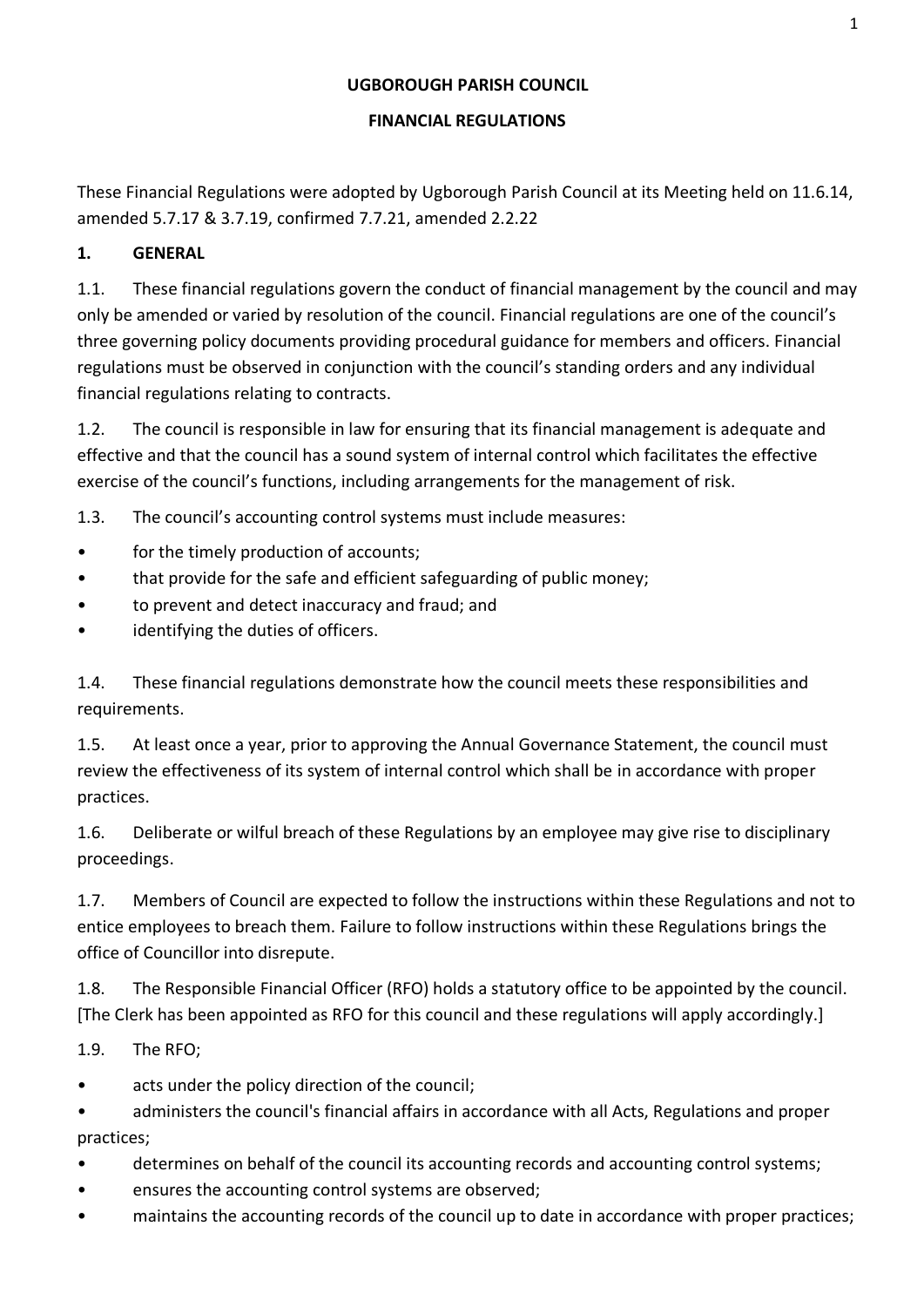#### **UGBOROUGH PARISH COUNCIL**

#### **FINANCIAL REGULATIONS**

These Financial Regulations were adopted by Ugborough Parish Council at its Meeting held on 11.6.14, amended 5.7.17 & 3.7.19, confirmed 7.7.21, amended 2.2.22

#### **1. GENERAL**

1.1. These financial regulations govern the conduct of financial management by the council and may only be amended or varied by resolution of the council. Financial regulations are one of the council's three governing policy documents providing procedural guidance for members and officers. Financial regulations must be observed in conjunction with the council's standing orders and any individual financial regulations relating to contracts.

1.2. The council is responsible in law for ensuring that its financial management is adequate and effective and that the council has a sound system of internal control which facilitates the effective exercise of the council's functions, including arrangements for the management of risk.

1.3. The council's accounting control systems must include measures:

- for the timely production of accounts;
- that provide for the safe and efficient safeguarding of public money;
- to prevent and detect inaccuracy and fraud; and
- identifying the duties of officers.

1.4. These financial regulations demonstrate how the council meets these responsibilities and requirements.

1.5. At least once a year, prior to approving the Annual Governance Statement, the council must review the effectiveness of its system of internal control which shall be in accordance with proper practices.

1.6. Deliberate or wilful breach of these Regulations by an employee may give rise to disciplinary proceedings.

1.7. Members of Council are expected to follow the instructions within these Regulations and not to entice employees to breach them. Failure to follow instructions within these Regulations brings the office of Councillor into disrepute.

1.8. The Responsible Financial Officer (RFO) holds a statutory office to be appointed by the council. [The Clerk has been appointed as RFO for this council and these regulations will apply accordingly.]

1.9. The RFO;

acts under the policy direction of the council;

• administers the council's financial affairs in accordance with all Acts, Regulations and proper practices;

- determines on behalf of the council its accounting records and accounting control systems;
- ensures the accounting control systems are observed;
- maintains the accounting records of the council up to date in accordance with proper practices;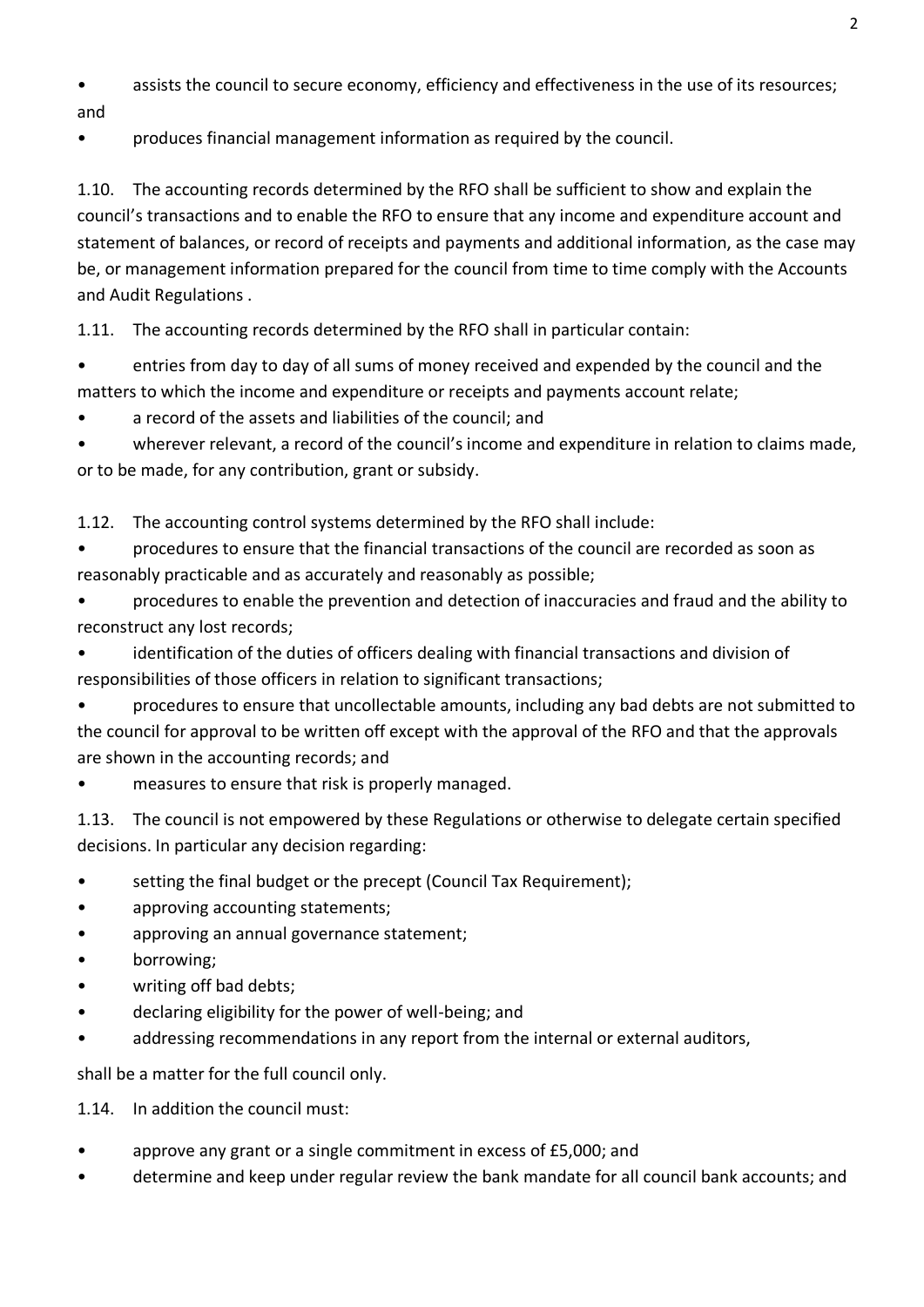- assists the council to secure economy, efficiency and effectiveness in the use of its resources;
- and
- produces financial management information as required by the council.

1.10. The accounting records determined by the RFO shall be sufficient to show and explain the council's transactions and to enable the RFO to ensure that any income and expenditure account and statement of balances, or record of receipts and payments and additional information, as the case may be, or management information prepared for the council from time to time comply with the Accounts and Audit Regulations .

1.11. The accounting records determined by the RFO shall in particular contain:

• entries from day to day of all sums of money received and expended by the council and the matters to which the income and expenditure or receipts and payments account relate;

• a record of the assets and liabilities of the council; and

wherever relevant, a record of the council's income and expenditure in relation to claims made, or to be made, for any contribution, grant or subsidy.

1.12. The accounting control systems determined by the RFO shall include:

- procedures to ensure that the financial transactions of the council are recorded as soon as reasonably practicable and as accurately and reasonably as possible;
- procedures to enable the prevention and detection of inaccuracies and fraud and the ability to reconstruct any lost records;
- identification of the duties of officers dealing with financial transactions and division of responsibilities of those officers in relation to significant transactions;

• procedures to ensure that uncollectable amounts, including any bad debts are not submitted to the council for approval to be written off except with the approval of the RFO and that the approvals are shown in the accounting records; and

measures to ensure that risk is properly managed.

1.13. The council is not empowered by these Regulations or otherwise to delegate certain specified decisions. In particular any decision regarding:

- setting the final budget or the precept (Council Tax Requirement);
- approving accounting statements;
- approving an annual governance statement;
- borrowing;
- writing off bad debts;
- declaring eligibility for the power of well-being; and
- addressing recommendations in any report from the internal or external auditors,

shall be a matter for the full council only.

1.14. In addition the council must:

- approve any grant or a single commitment in excess of £5,000; and
- determine and keep under regular review the bank mandate for all council bank accounts; and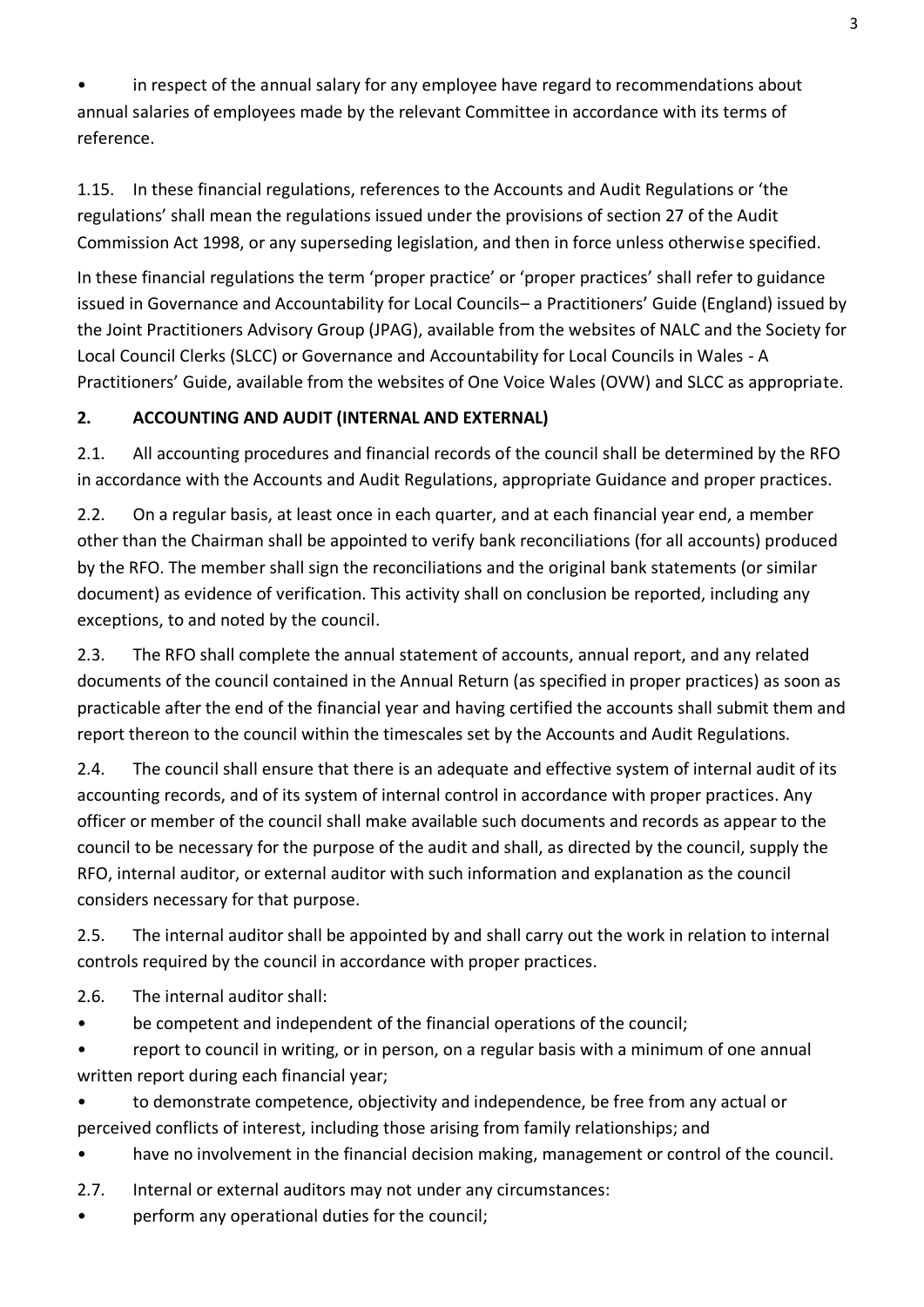in respect of the annual salary for any employee have regard to recommendations about annual salaries of employees made by the relevant Committee in accordance with its terms of reference.

1.15. In these financial regulations, references to the Accounts and Audit Regulations or 'the regulations' shall mean the regulations issued under the provisions of section 27 of the Audit Commission Act 1998, or any superseding legislation, and then in force unless otherwise specified.

In these financial regulations the term 'proper practice' or 'proper practices' shall refer to guidance issued in Governance and Accountability for Local Councils– a Practitioners' Guide (England) issued by the Joint Practitioners Advisory Group (JPAG), available from the websites of NALC and the Society for Local Council Clerks (SLCC) or Governance and Accountability for Local Councils in Wales - A Practitioners' Guide, available from the websites of One Voice Wales (OVW) and SLCC as appropriate.

### **2. ACCOUNTING AND AUDIT (INTERNAL AND EXTERNAL)**

2.1. All accounting procedures and financial records of the council shall be determined by the RFO in accordance with the Accounts and Audit Regulations, appropriate Guidance and proper practices.

2.2. On a regular basis, at least once in each quarter, and at each financial year end, a member other than the Chairman shall be appointed to verify bank reconciliations (for all accounts) produced by the RFO. The member shall sign the reconciliations and the original bank statements (or similar document) as evidence of verification. This activity shall on conclusion be reported, including any exceptions, to and noted by the council.

2.3. The RFO shall complete the annual statement of accounts, annual report, and any related documents of the council contained in the Annual Return (as specified in proper practices) as soon as practicable after the end of the financial year and having certified the accounts shall submit them and report thereon to the council within the timescales set by the Accounts and Audit Regulations.

2.4. The council shall ensure that there is an adequate and effective system of internal audit of its accounting records, and of its system of internal control in accordance with proper practices. Any officer or member of the council shall make available such documents and records as appear to the council to be necessary for the purpose of the audit and shall, as directed by the council, supply the RFO, internal auditor, or external auditor with such information and explanation as the council considers necessary for that purpose.

2.5. The internal auditor shall be appointed by and shall carry out the work in relation to internal controls required by the council in accordance with proper practices.

2.6. The internal auditor shall:

• be competent and independent of the financial operations of the council;

• report to council in writing, or in person, on a regular basis with a minimum of one annual written report during each financial year;

• to demonstrate competence, objectivity and independence, be free from any actual or perceived conflicts of interest, including those arising from family relationships; and

• have no involvement in the financial decision making, management or control of the council.

2.7. Internal or external auditors may not under any circumstances:

• perform any operational duties for the council;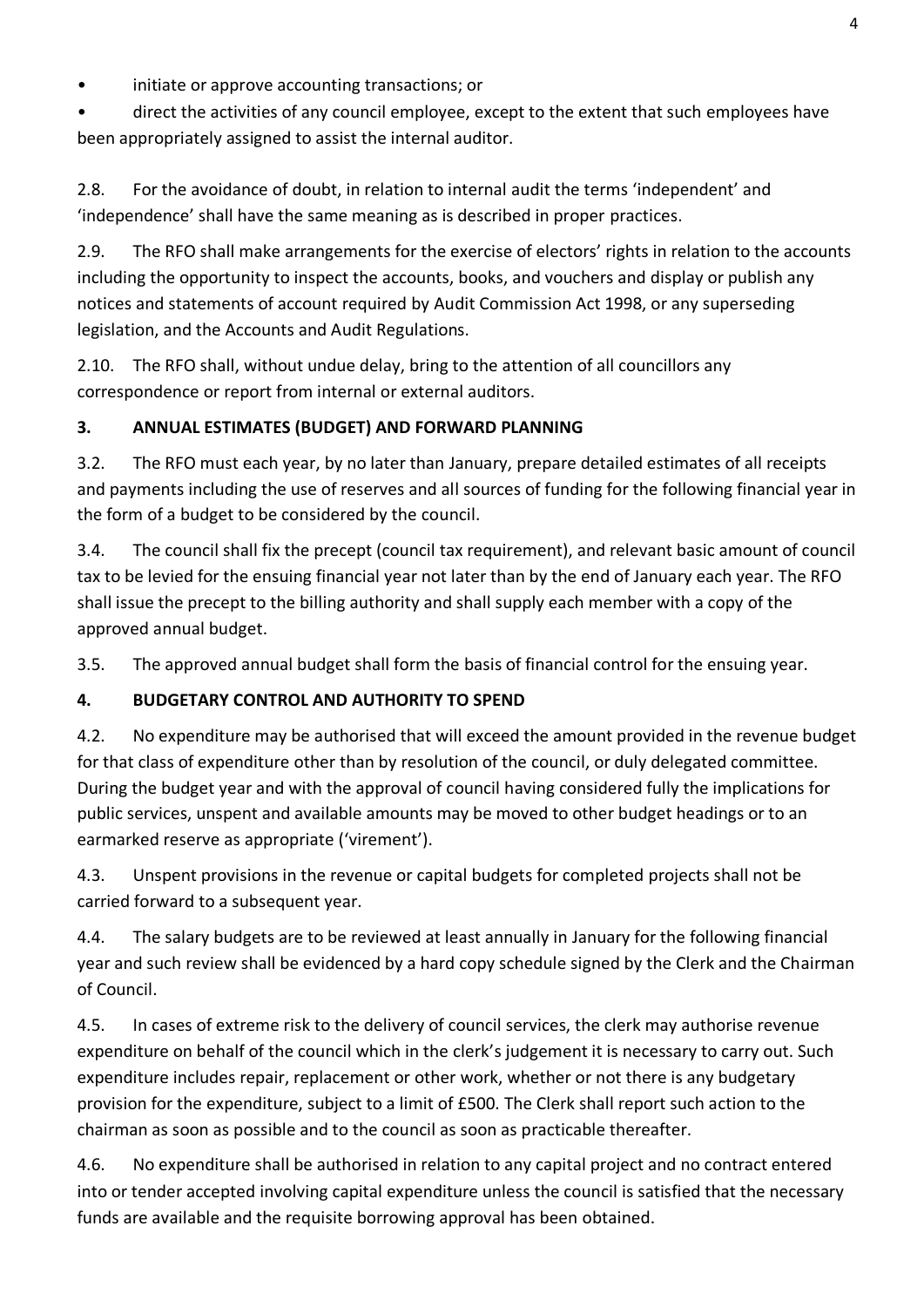initiate or approve accounting transactions; or

• direct the activities of any council employee, except to the extent that such employees have been appropriately assigned to assist the internal auditor.

2.8. For the avoidance of doubt, in relation to internal audit the terms 'independent' and 'independence' shall have the same meaning as is described in proper practices.

2.9. The RFO shall make arrangements for the exercise of electors' rights in relation to the accounts including the opportunity to inspect the accounts, books, and vouchers and display or publish any notices and statements of account required by Audit Commission Act 1998, or any superseding legislation, and the Accounts and Audit Regulations.

2.10. The RFO shall, without undue delay, bring to the attention of all councillors any correspondence or report from internal or external auditors.

### **3. ANNUAL ESTIMATES (BUDGET) AND FORWARD PLANNING**

3.2. The RFO must each year, by no later than January, prepare detailed estimates of all receipts and payments including the use of reserves and all sources of funding for the following financial year in the form of a budget to be considered by the council.

3.4. The council shall fix the precept (council tax requirement), and relevant basic amount of council tax to be levied for the ensuing financial year not later than by the end of January each year. The RFO shall issue the precept to the billing authority and shall supply each member with a copy of the approved annual budget.

3.5. The approved annual budget shall form the basis of financial control for the ensuing year.

## **4. BUDGETARY CONTROL AND AUTHORITY TO SPEND**

4.2. No expenditure may be authorised that will exceed the amount provided in the revenue budget for that class of expenditure other than by resolution of the council, or duly delegated committee. During the budget year and with the approval of council having considered fully the implications for public services, unspent and available amounts may be moved to other budget headings or to an earmarked reserve as appropriate ('virement').

4.3. Unspent provisions in the revenue or capital budgets for completed projects shall not be carried forward to a subsequent year.

4.4. The salary budgets are to be reviewed at least annually in January for the following financial year and such review shall be evidenced by a hard copy schedule signed by the Clerk and the Chairman of Council.

4.5. In cases of extreme risk to the delivery of council services, the clerk may authorise revenue expenditure on behalf of the council which in the clerk's judgement it is necessary to carry out. Such expenditure includes repair, replacement or other work, whether or not there is any budgetary provision for the expenditure, subject to a limit of £500. The Clerk shall report such action to the chairman as soon as possible and to the council as soon as practicable thereafter.

4.6. No expenditure shall be authorised in relation to any capital project and no contract entered into or tender accepted involving capital expenditure unless the council is satisfied that the necessary funds are available and the requisite borrowing approval has been obtained.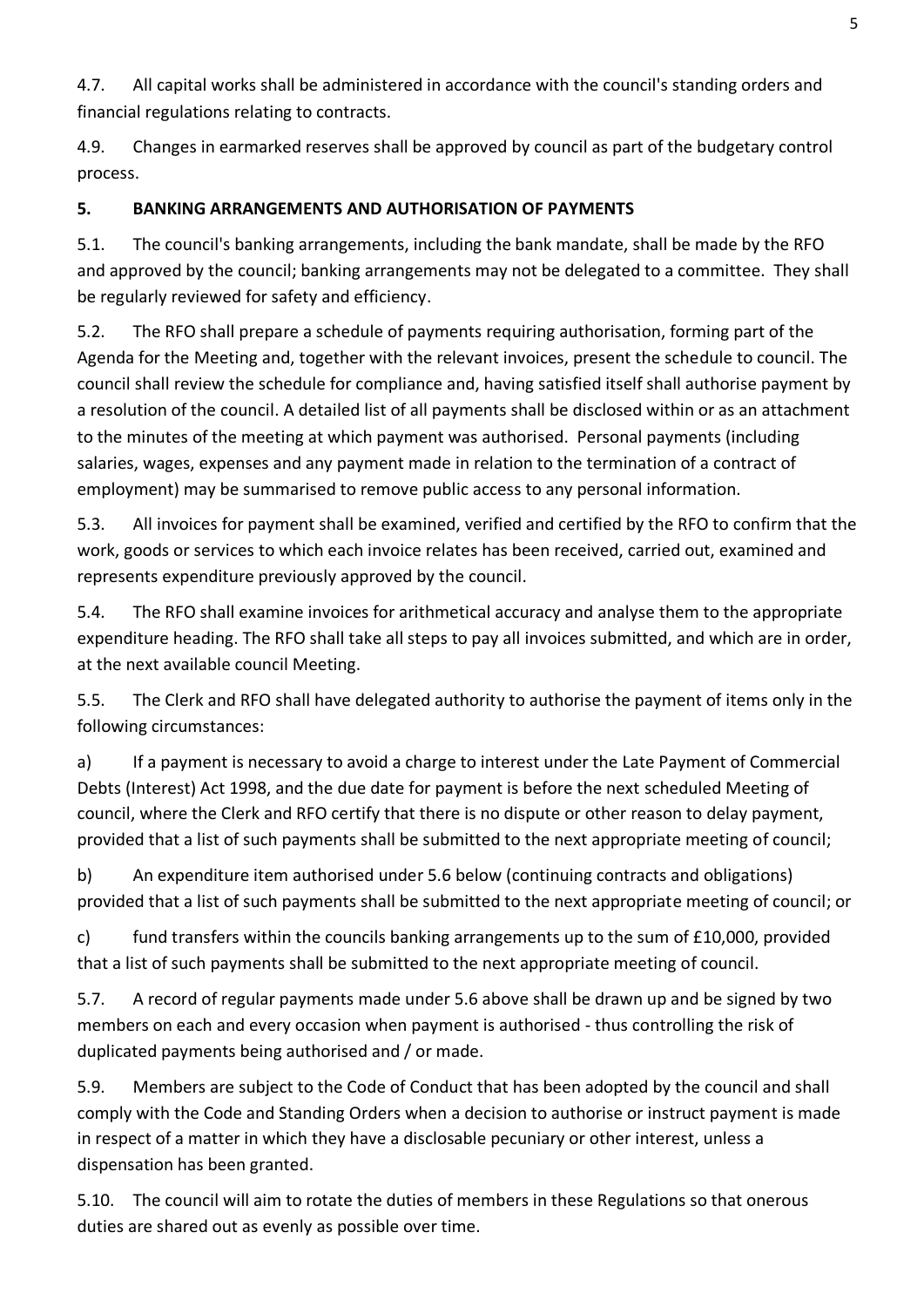4.7. All capital works shall be administered in accordance with the council's standing orders and financial regulations relating to contracts.

4.9. Changes in earmarked reserves shall be approved by council as part of the budgetary control process.

# **5. BANKING ARRANGEMENTS AND AUTHORISATION OF PAYMENTS**

5.1. The council's banking arrangements, including the bank mandate, shall be made by the RFO and approved by the council; banking arrangements may not be delegated to a committee. They shall be regularly reviewed for safety and efficiency.

5.2. The RFO shall prepare a schedule of payments requiring authorisation, forming part of the Agenda for the Meeting and, together with the relevant invoices, present the schedule to council. The council shall review the schedule for compliance and, having satisfied itself shall authorise payment by a resolution of the council. A detailed list of all payments shall be disclosed within or as an attachment to the minutes of the meeting at which payment was authorised. Personal payments (including salaries, wages, expenses and any payment made in relation to the termination of a contract of employment) may be summarised to remove public access to any personal information.

5.3. All invoices for payment shall be examined, verified and certified by the RFO to confirm that the work, goods or services to which each invoice relates has been received, carried out, examined and represents expenditure previously approved by the council.

5.4. The RFO shall examine invoices for arithmetical accuracy and analyse them to the appropriate expenditure heading. The RFO shall take all steps to pay all invoices submitted, and which are in order, at the next available council Meeting.

5.5. The Clerk and RFO shall have delegated authority to authorise the payment of items only in the following circumstances:

a) If a payment is necessary to avoid a charge to interest under the Late Payment of Commercial Debts (Interest) Act 1998, and the due date for payment is before the next scheduled Meeting of council, where the Clerk and RFO certify that there is no dispute or other reason to delay payment, provided that a list of such payments shall be submitted to the next appropriate meeting of council;

b) An expenditure item authorised under 5.6 below (continuing contracts and obligations) provided that a list of such payments shall be submitted to the next appropriate meeting of council; or

c) fund transfers within the councils banking arrangements up to the sum of  $£10,000$ , provided that a list of such payments shall be submitted to the next appropriate meeting of council.

5.7. A record of regular payments made under 5.6 above shall be drawn up and be signed by two members on each and every occasion when payment is authorised - thus controlling the risk of duplicated payments being authorised and / or made.

5.9. Members are subject to the Code of Conduct that has been adopted by the council and shall comply with the Code and Standing Orders when a decision to authorise or instruct payment is made in respect of a matter in which they have a disclosable pecuniary or other interest, unless a dispensation has been granted.

5.10. The council will aim to rotate the duties of members in these Regulations so that onerous duties are shared out as evenly as possible over time.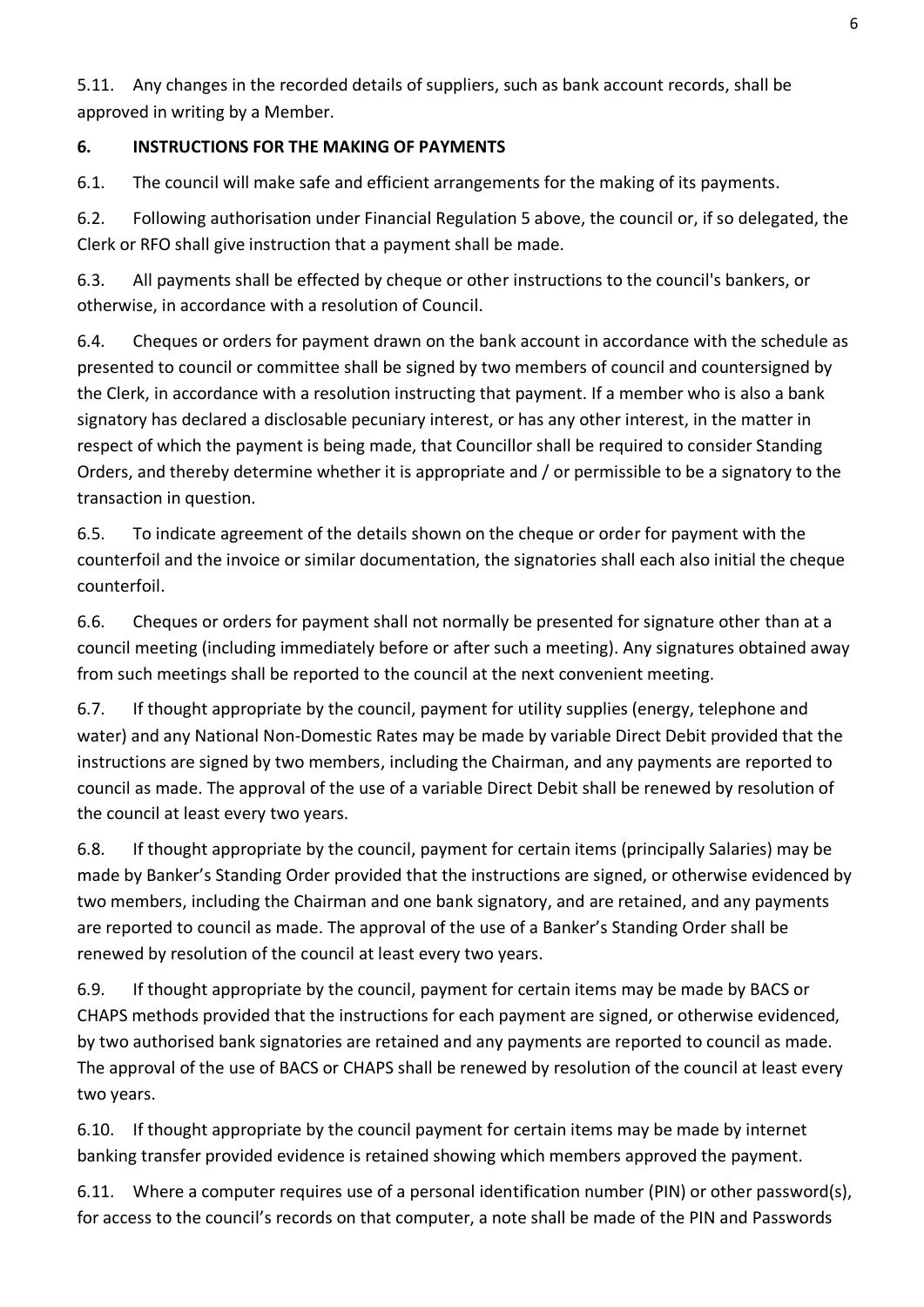5.11. Any changes in the recorded details of suppliers, such as bank account records, shall be approved in writing by a Member.

### **6. INSTRUCTIONS FOR THE MAKING OF PAYMENTS**

6.1. The council will make safe and efficient arrangements for the making of its payments.

6.2. Following authorisation under Financial Regulation 5 above, the council or, if so delegated, the Clerk or RFO shall give instruction that a payment shall be made.

6.3. All payments shall be effected by cheque or other instructions to the council's bankers, or otherwise, in accordance with a resolution of Council.

6.4. Cheques or orders for payment drawn on the bank account in accordance with the schedule as presented to council or committee shall be signed by two members of council and countersigned by the Clerk, in accordance with a resolution instructing that payment. If a member who is also a bank signatory has declared a disclosable pecuniary interest, or has any other interest, in the matter in respect of which the payment is being made, that Councillor shall be required to consider Standing Orders, and thereby determine whether it is appropriate and / or permissible to be a signatory to the transaction in question.

6.5. To indicate agreement of the details shown on the cheque or order for payment with the counterfoil and the invoice or similar documentation, the signatories shall each also initial the cheque counterfoil.

6.6. Cheques or orders for payment shall not normally be presented for signature other than at a council meeting (including immediately before or after such a meeting). Any signatures obtained away from such meetings shall be reported to the council at the next convenient meeting.

6.7. If thought appropriate by the council, payment for utility supplies (energy, telephone and water) and any National Non-Domestic Rates may be made by variable Direct Debit provided that the instructions are signed by two members, including the Chairman, and any payments are reported to council as made. The approval of the use of a variable Direct Debit shall be renewed by resolution of the council at least every two years.

6.8. If thought appropriate by the council, payment for certain items (principally Salaries) may be made by Banker's Standing Order provided that the instructions are signed, or otherwise evidenced by two members, including the Chairman and one bank signatory, and are retained, and any payments are reported to council as made. The approval of the use of a Banker's Standing Order shall be renewed by resolution of the council at least every two years.

6.9. If thought appropriate by the council, payment for certain items may be made by BACS or CHAPS methods provided that the instructions for each payment are signed, or otherwise evidenced, by two authorised bank signatories are retained and any payments are reported to council as made. The approval of the use of BACS or CHAPS shall be renewed by resolution of the council at least every two years.

6.10. If thought appropriate by the council payment for certain items may be made by internet banking transfer provided evidence is retained showing which members approved the payment.

6.11. Where a computer requires use of a personal identification number (PIN) or other password(s), for access to the council's records on that computer, a note shall be made of the PIN and Passwords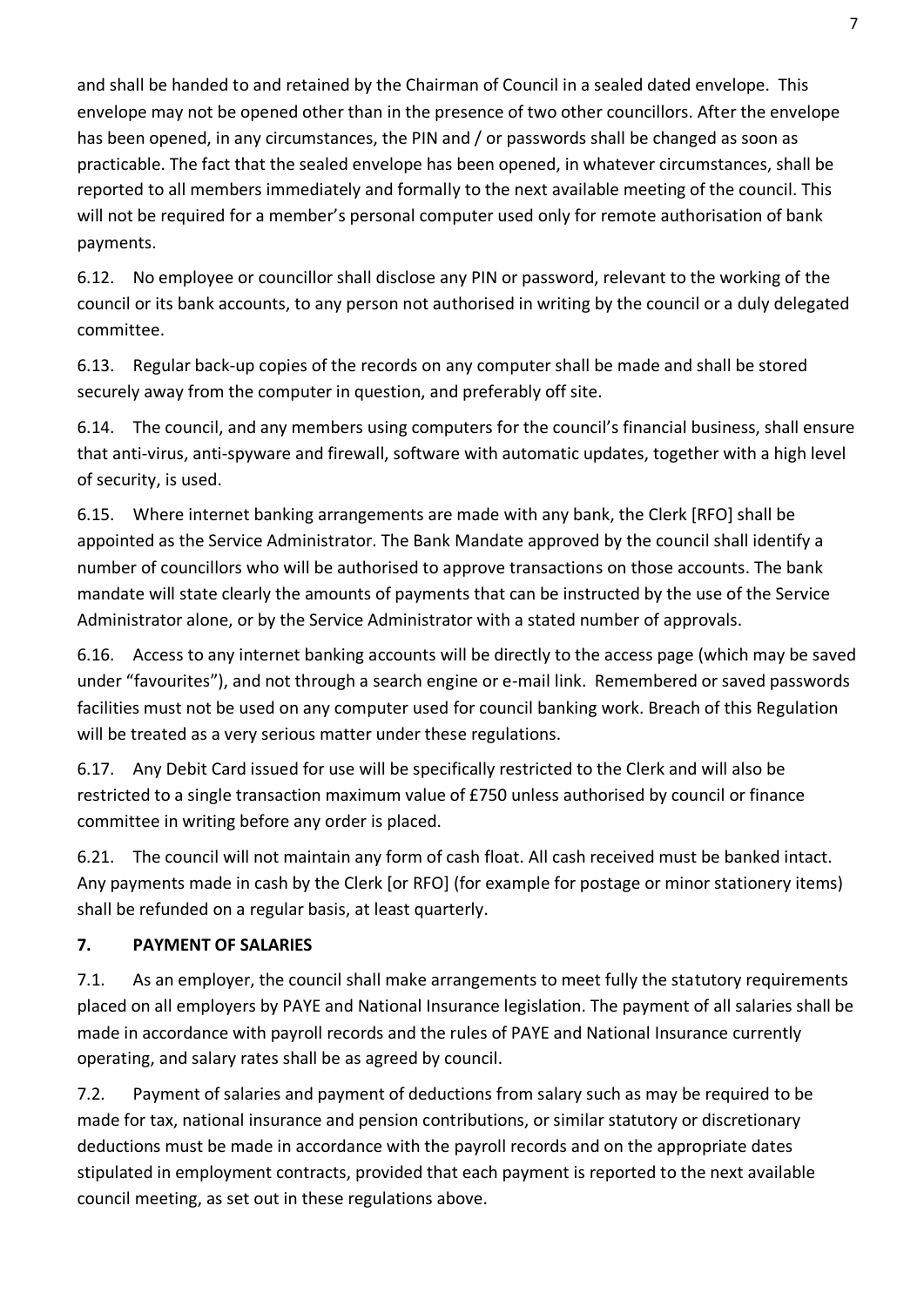and shall be handed to and retained by the Chairman of Council in a sealed dated envelope. This envelope may not be opened other than in the presence of two other councillors. After the envelope has been opened, in any circumstances, the PIN and / or passwords shall be changed as soon as practicable. The fact that the sealed envelope has been opened, in whatever circumstances, shall be reported to all members immediately and formally to the next available meeting of the council. This will not be required for a member's personal computer used only for remote authorisation of bank payments.

6.12. No employee or councillor shall disclose any PIN or password, relevant to the working of the council or its bank accounts, to any person not authorised in writing by the council or a duly delegated committee.

6.13. Regular back-up copies of the records on any computer shall be made and shall be stored securely away from the computer in question, and preferably off site.

6.14. The council, and any members using computers for the council's financial business, shall ensure that anti-virus, anti-spyware and firewall, software with automatic updates, together with a high level of security, is used.

6.15. Where internet banking arrangements are made with any bank, the Clerk [RFO] shall be appointed as the Service Administrator. The Bank Mandate approved by the council shall identify a number of councillors who will be authorised to approve transactions on those accounts. The bank mandate will state clearly the amounts of payments that can be instructed by the use of the Service Administrator alone, or by the Service Administrator with a stated number of approvals.

6.16. Access to any internet banking accounts will be directly to the access page (which may be saved under "favourites"), and not through a search engine or e-mail link. Remembered or saved passwords facilities must not be used on any computer used for council banking work. Breach of this Regulation will be treated as a very serious matter under these regulations.

6.17. Any Debit Card issued for use will be specifically restricted to the Clerk and will also be restricted to a single transaction maximum value of £750 unless authorised by council or finance committee in writing before any order is placed.

6.21. The council will not maintain any form of cash float. All cash received must be banked intact. Any payments made in cash by the Clerk [or RFO] (for example for postage or minor stationery items) shall be refunded on a regular basis, at least quarterly.

### **7. PAYMENT OF SALARIES**

7.1. As an employer, the council shall make arrangements to meet fully the statutory requirements placed on all employers by PAYE and National Insurance legislation. The payment of all salaries shall be made in accordance with payroll records and the rules of PAYE and National Insurance currently operating, and salary rates shall be as agreed by council.

7.2. Payment of salaries and payment of deductions from salary such as may be required to be made for tax, national insurance and pension contributions, or similar statutory or discretionary deductions must be made in accordance with the payroll records and on the appropriate dates stipulated in employment contracts, provided that each payment is reported to the next available council meeting, as set out in these regulations above.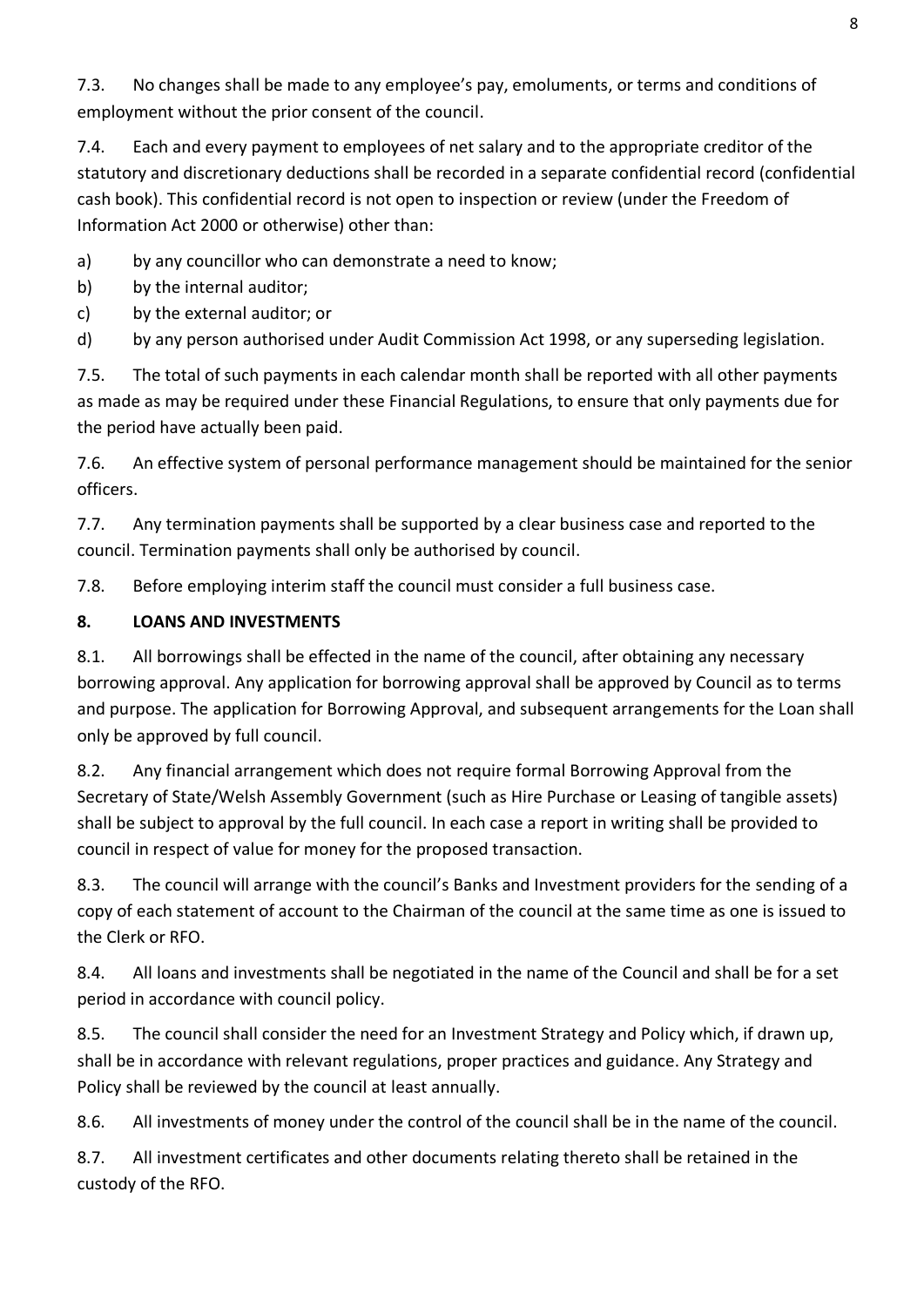7.3. No changes shall be made to any employee's pay, emoluments, or terms and conditions of employment without the prior consent of the council.

7.4. Each and every payment to employees of net salary and to the appropriate creditor of the statutory and discretionary deductions shall be recorded in a separate confidential record (confidential cash book). This confidential record is not open to inspection or review (under the Freedom of Information Act 2000 or otherwise) other than:

a) by any councillor who can demonstrate a need to know;

b) by the internal auditor;

c) by the external auditor; or

d) by any person authorised under Audit Commission Act 1998, or any superseding legislation.

7.5. The total of such payments in each calendar month shall be reported with all other payments as made as may be required under these Financial Regulations, to ensure that only payments due for the period have actually been paid.

7.6. An effective system of personal performance management should be maintained for the senior officers.

7.7. Any termination payments shall be supported by a clear business case and reported to the council. Termination payments shall only be authorised by council.

7.8. Before employing interim staff the council must consider a full business case.

### **8. LOANS AND INVESTMENTS**

8.1. All borrowings shall be effected in the name of the council, after obtaining any necessary borrowing approval. Any application for borrowing approval shall be approved by Council as to terms and purpose. The application for Borrowing Approval, and subsequent arrangements for the Loan shall only be approved by full council.

8.2. Any financial arrangement which does not require formal Borrowing Approval from the Secretary of State/Welsh Assembly Government (such as Hire Purchase or Leasing of tangible assets) shall be subject to approval by the full council. In each case a report in writing shall be provided to council in respect of value for money for the proposed transaction.

8.3. The council will arrange with the council's Banks and Investment providers for the sending of a copy of each statement of account to the Chairman of the council at the same time as one is issued to the Clerk or RFO.

8.4. All loans and investments shall be negotiated in the name of the Council and shall be for a set period in accordance with council policy.

8.5. The council shall consider the need for an Investment Strategy and Policy which, if drawn up, shall be in accordance with relevant regulations, proper practices and guidance. Any Strategy and Policy shall be reviewed by the council at least annually.

8.6. All investments of money under the control of the council shall be in the name of the council.

8.7. All investment certificates and other documents relating thereto shall be retained in the custody of the RFO.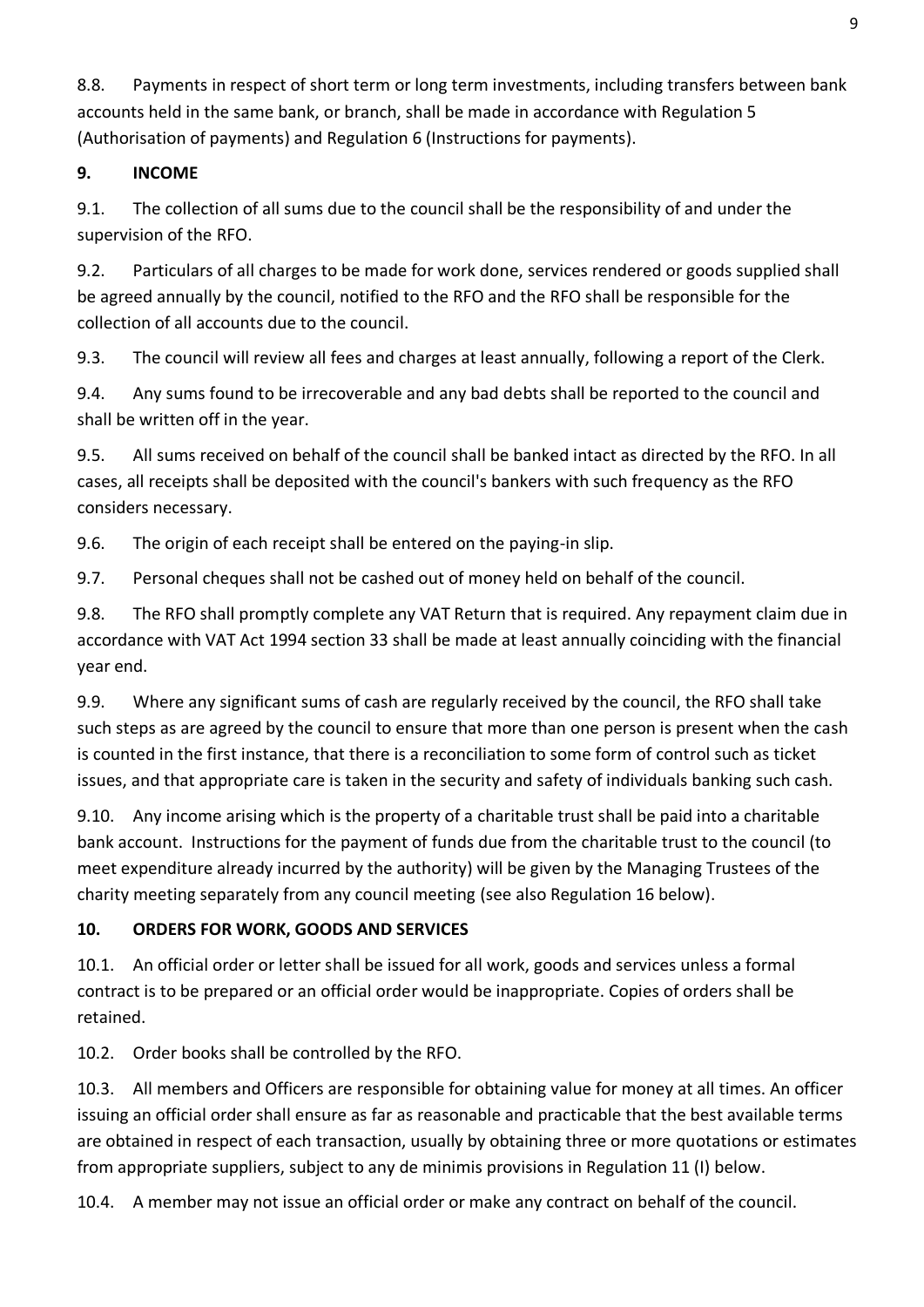8.8. Payments in respect of short term or long term investments, including transfers between bank accounts held in the same bank, or branch, shall be made in accordance with Regulation 5 (Authorisation of payments) and Regulation 6 (Instructions for payments).

### **9. INCOME**

9.1. The collection of all sums due to the council shall be the responsibility of and under the supervision of the RFO.

9.2. Particulars of all charges to be made for work done, services rendered or goods supplied shall be agreed annually by the council, notified to the RFO and the RFO shall be responsible for the collection of all accounts due to the council.

9.3. The council will review all fees and charges at least annually, following a report of the Clerk.

9.4. Any sums found to be irrecoverable and any bad debts shall be reported to the council and shall be written off in the year.

9.5. All sums received on behalf of the council shall be banked intact as directed by the RFO. In all cases, all receipts shall be deposited with the council's bankers with such frequency as the RFO considers necessary.

9.6. The origin of each receipt shall be entered on the paying-in slip.

9.7. Personal cheques shall not be cashed out of money held on behalf of the council.

9.8. The RFO shall promptly complete any VAT Return that is required. Any repayment claim due in accordance with VAT Act 1994 section 33 shall be made at least annually coinciding with the financial year end.

9.9. Where any significant sums of cash are regularly received by the council, the RFO shall take such steps as are agreed by the council to ensure that more than one person is present when the cash is counted in the first instance, that there is a reconciliation to some form of control such as ticket issues, and that appropriate care is taken in the security and safety of individuals banking such cash.

9.10. Any income arising which is the property of a charitable trust shall be paid into a charitable bank account. Instructions for the payment of funds due from the charitable trust to the council (to meet expenditure already incurred by the authority) will be given by the Managing Trustees of the charity meeting separately from any council meeting (see also Regulation 16 below).

# **10. ORDERS FOR WORK, GOODS AND SERVICES**

10.1. An official order or letter shall be issued for all work, goods and services unless a formal contract is to be prepared or an official order would be inappropriate. Copies of orders shall be retained.

10.2. Order books shall be controlled by the RFO.

10.3. All members and Officers are responsible for obtaining value for money at all times. An officer issuing an official order shall ensure as far as reasonable and practicable that the best available terms are obtained in respect of each transaction, usually by obtaining three or more quotations or estimates from appropriate suppliers, subject to any de minimis provisions in Regulation 11 (I) below.

10.4. A member may not issue an official order or make any contract on behalf of the council.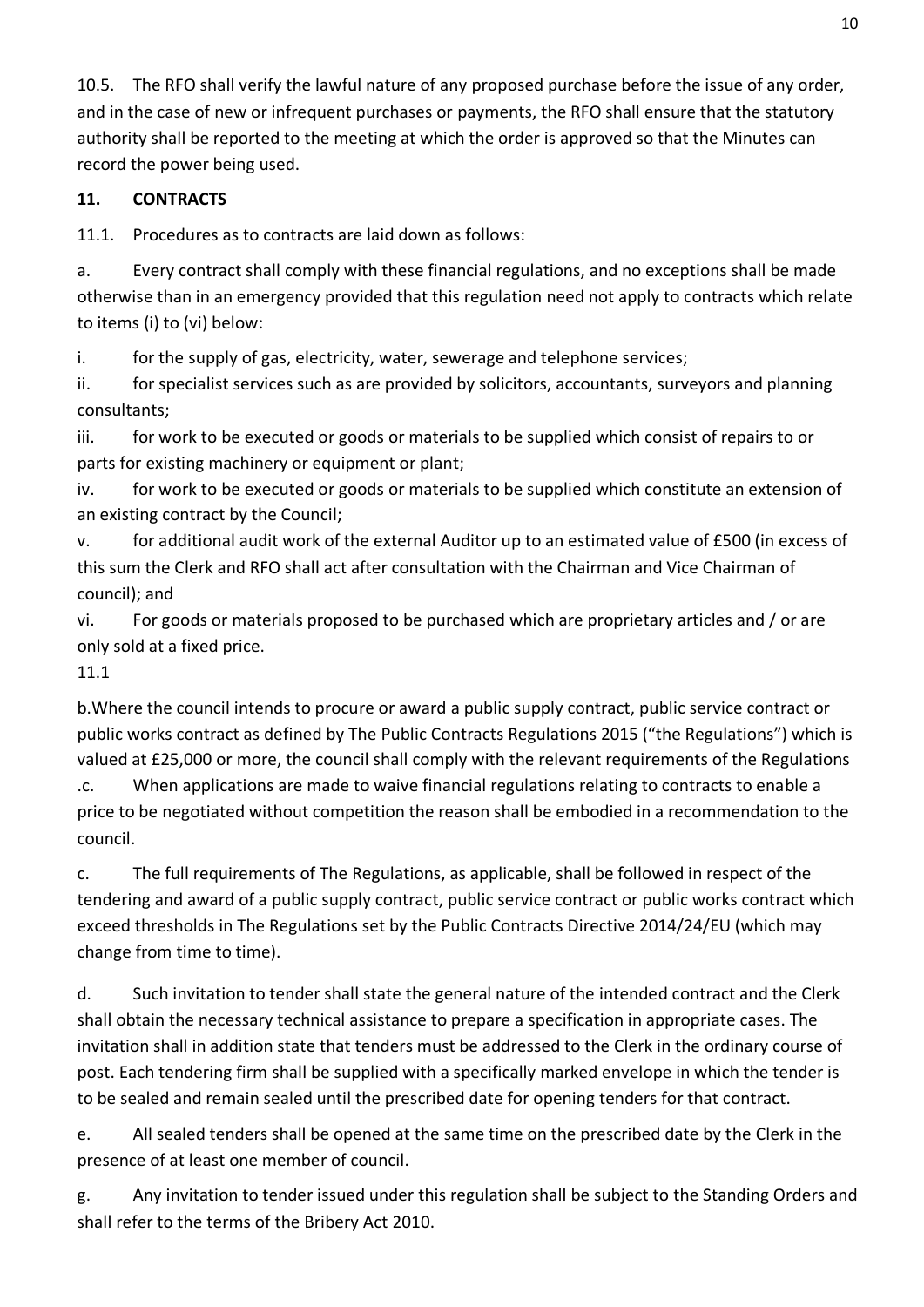10.5. The RFO shall verify the lawful nature of any proposed purchase before the issue of any order, and in the case of new or infrequent purchases or payments, the RFO shall ensure that the statutory authority shall be reported to the meeting at which the order is approved so that the Minutes can record the power being used.

### **11. CONTRACTS**

11.1. Procedures as to contracts are laid down as follows:

a. Every contract shall comply with these financial regulations, and no exceptions shall be made otherwise than in an emergency provided that this regulation need not apply to contracts which relate to items (i) to (vi) below:

i. for the supply of gas, electricity, water, sewerage and telephone services;

ii. for specialist services such as are provided by solicitors, accountants, surveyors and planning consultants;

iii. for work to be executed or goods or materials to be supplied which consist of repairs to or parts for existing machinery or equipment or plant;

iv. for work to be executed or goods or materials to be supplied which constitute an extension of an existing contract by the Council;

v. for additional audit work of the external Auditor up to an estimated value of £500 (in excess of this sum the Clerk and RFO shall act after consultation with the Chairman and Vice Chairman of council); and

vi. For goods or materials proposed to be purchased which are proprietary articles and / or are only sold at a fixed price.

### 11.1

b.Where the council intends to procure or award a public supply contract, public service contract or public works contract as defined by The Public Contracts Regulations 2015 ("the Regulations") which is valued at £25,000 or more, the council shall comply with the relevant requirements of the Regulations .c. When applications are made to waive financial regulations relating to contracts to enable a price to be negotiated without competition the reason shall be embodied in a recommendation to the

council.

c. The full requirements of The Regulations, as applicable, shall be followed in respect of the tendering and award of a public supply contract, public service contract or public works contract which exceed thresholds in The Regulations set by the Public Contracts Directive 2014/24/EU (which may change from time to time).

d. Such invitation to tender shall state the general nature of the intended contract and the Clerk shall obtain the necessary technical assistance to prepare a specification in appropriate cases. The invitation shall in addition state that tenders must be addressed to the Clerk in the ordinary course of post. Each tendering firm shall be supplied with a specifically marked envelope in which the tender is to be sealed and remain sealed until the prescribed date for opening tenders for that contract.

e. All sealed tenders shall be opened at the same time on the prescribed date by the Clerk in the presence of at least one member of council.

g. Any invitation to tender issued under this regulation shall be subject to the Standing Orders and shall refer to the terms of the Bribery Act 2010.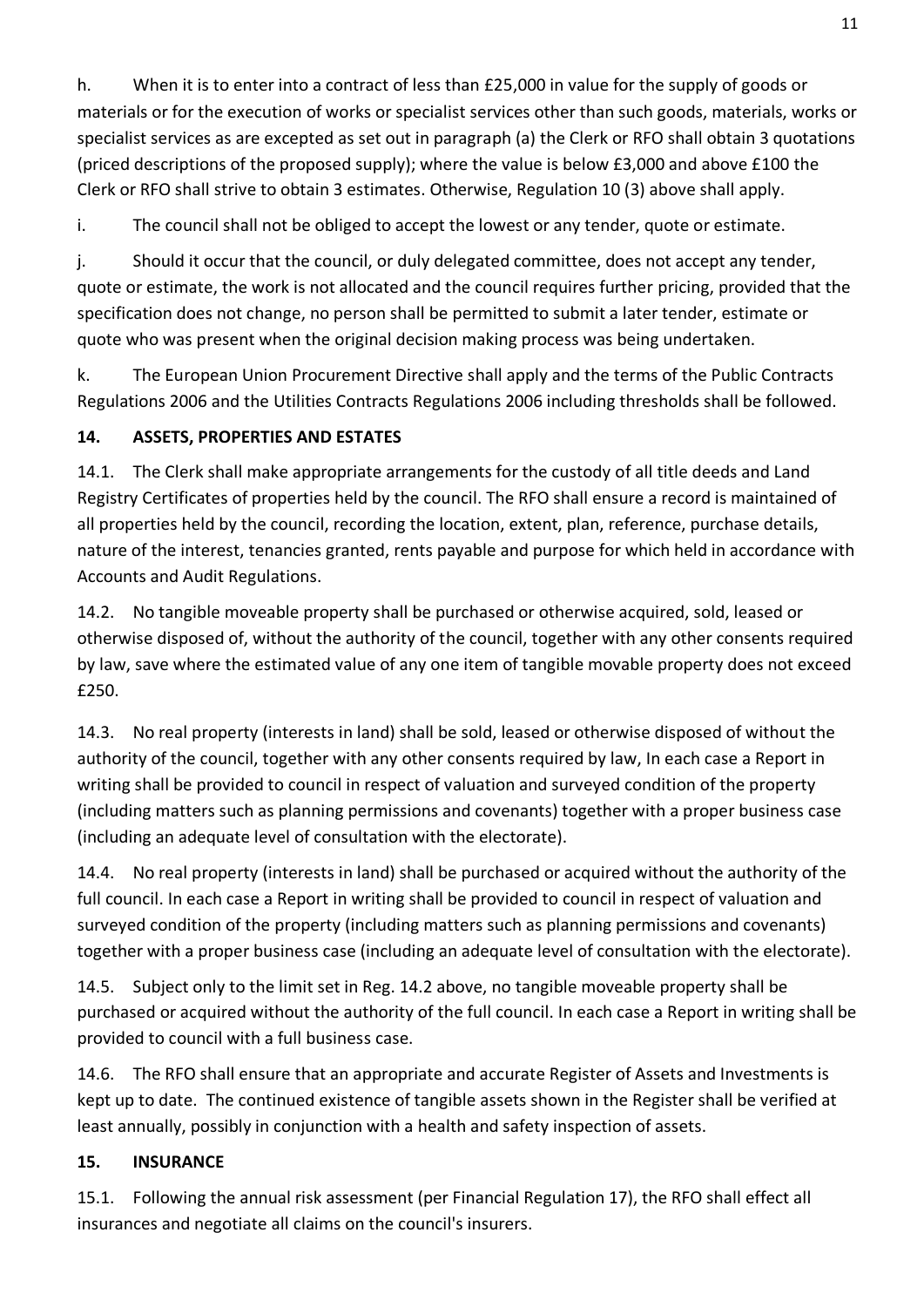h. When it is to enter into a contract of less than £25,000 in value for the supply of goods or materials or for the execution of works or specialist services other than such goods, materials, works or specialist services as are excepted as set out in paragraph (a) the Clerk or RFO shall obtain 3 quotations (priced descriptions of the proposed supply); where the value is below £3,000 and above £100 the Clerk or RFO shall strive to obtain 3 estimates. Otherwise, Regulation 10 (3) above shall apply.

i. The council shall not be obliged to accept the lowest or any tender, quote or estimate.

j. Should it occur that the council, or duly delegated committee, does not accept any tender, quote or estimate, the work is not allocated and the council requires further pricing, provided that the specification does not change, no person shall be permitted to submit a later tender, estimate or quote who was present when the original decision making process was being undertaken.

k. The European Union Procurement Directive shall apply and the terms of the Public Contracts Regulations 2006 and the Utilities Contracts Regulations 2006 including thresholds shall be followed.

## **14. ASSETS, PROPERTIES AND ESTATES**

14.1. The Clerk shall make appropriate arrangements for the custody of all title deeds and Land Registry Certificates of properties held by the council. The RFO shall ensure a record is maintained of all properties held by the council, recording the location, extent, plan, reference, purchase details, nature of the interest, tenancies granted, rents payable and purpose for which held in accordance with Accounts and Audit Regulations.

14.2. No tangible moveable property shall be purchased or otherwise acquired, sold, leased or otherwise disposed of, without the authority of the council, together with any other consents required by law, save where the estimated value of any one item of tangible movable property does not exceed £250.

14.3. No real property (interests in land) shall be sold, leased or otherwise disposed of without the authority of the council, together with any other consents required by law, In each case a Report in writing shall be provided to council in respect of valuation and surveyed condition of the property (including matters such as planning permissions and covenants) together with a proper business case (including an adequate level of consultation with the electorate).

14.4. No real property (interests in land) shall be purchased or acquired without the authority of the full council. In each case a Report in writing shall be provided to council in respect of valuation and surveyed condition of the property (including matters such as planning permissions and covenants) together with a proper business case (including an adequate level of consultation with the electorate).

14.5. Subject only to the limit set in Reg. 14.2 above, no tangible moveable property shall be purchased or acquired without the authority of the full council. In each case a Report in writing shall be provided to council with a full business case.

14.6. The RFO shall ensure that an appropriate and accurate Register of Assets and Investments is kept up to date. The continued existence of tangible assets shown in the Register shall be verified at least annually, possibly in conjunction with a health and safety inspection of assets.

## **15. INSURANCE**

15.1. Following the annual risk assessment (per Financial Regulation 17), the RFO shall effect all insurances and negotiate all claims on the council's insurers.